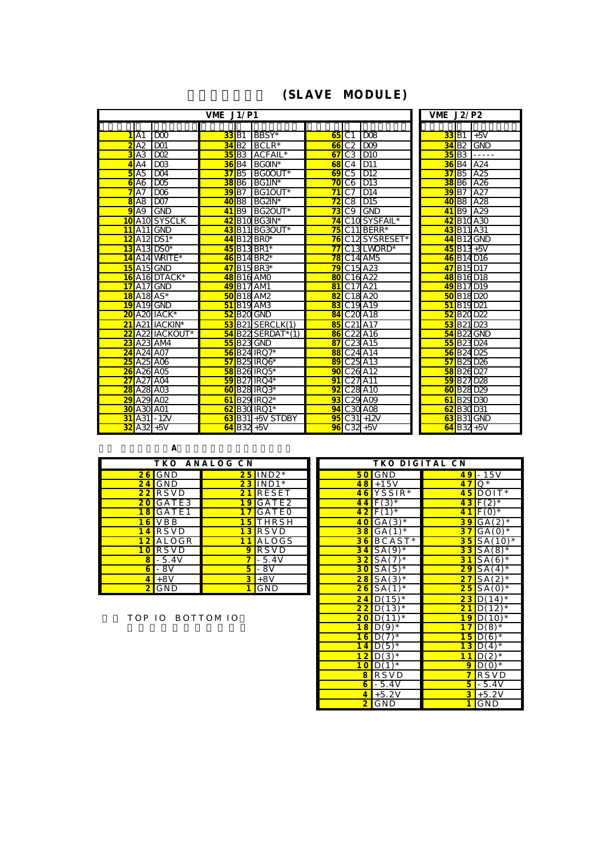## (SLAVE MODULE)

|                                       | VME $J1/P1$                               |                                          | <b>VME J2/P2</b>                      |
|---------------------------------------|-------------------------------------------|------------------------------------------|---------------------------------------|
|                                       |                                           |                                          |                                       |
| D <sub>0</sub><br>1 A1                | BBSY*<br><b>33</b> B1                     | 65<br>C <sub>1</sub><br>1D08             | 33<br>B1<br>$+5V$                     |
| <b>DO1</b><br>A2                      | 34B2<br>$BCLR*$                           | C <sub>2</sub><br>D <sub>0</sub><br>66   | 34B2<br>GND                           |
| DO <sub>2</sub><br>A3<br>3            | 35<br>B <sub>3</sub><br>ACFAIL*           | C <sub>3</sub><br><b>D10</b><br>67       | 35<br>B3<br>.                         |
| $\overline{DOB}$<br>A4<br>4           | <b>B4</b><br>BGOIN*<br>36                 | D11<br>C <sub>4</sub><br>68              | A24<br>B <sub>4</sub><br>36           |
| D <sub>04</sub><br>A5<br>5            | B5<br>37<br>BGOOUT*                       | $\overline{C5}$<br>D <sub>12</sub><br>69 | A25<br>B5<br>37                       |
| D <sub>02</sub><br>6A6                | 38<br>B <sub>6</sub><br>$BG1N*$           | C6<br>70<br>D13                          | 38<br>A26<br>B6                       |
| DOS<br>7<br>A7                        | <b>B7</b><br>BG1OUT*<br>39                | 71<br>C7<br>D <sub>14</sub>              | $\overline{B7}$<br>A27<br>39          |
| DO <sub>7</sub><br><b>8</b> A8        | $BG2N^*$<br>B8<br>40                      | 72<br>C8<br>D15                          | A28<br><b>B8</b><br>40                |
| <b>GND</b><br>9A9                     | $BG2OUT*$<br>41 <sub>B9</sub>             | 73<br>C9<br><b>IGND</b>                  | A29<br>41 <sub>B9</sub>               |
| <b>A10</b> SYSCLK<br>10               | B <sub>10</sub> BG3N <sup>*</sup><br>42   | C10 SYSFAIL*<br>74                       | <b>B10A30</b><br>42                   |
| $A11$ <sub>GND</sub><br>11            | B11BG3OUT*<br>43                          | 75<br>C11 BERR*                          | 43 B <sub>11</sub> A <sub>31</sub>    |
| A <sub>12</sub> $DS1*$<br>12          | B <sub>12</sub> BRO*<br>44                | C12 SYSRESET*<br>76                      | B <sub>12</sub> <sub>GND</sub><br>44  |
| $13$ A <sub>13</sub> DSO*             | $45$ B <sub>13</sub> BR <sub>1</sub> *    | 77<br>C <sub>13</sub> LWORD <sup>*</sup> | $45$ B13+5V                           |
| 14 A14 WRITE*                         | 46 B14 BR2*                               | 78<br>$C14$ AM <sub>5</sub>              | 46 B14 D16                            |
| $15$ A <sub>15</sub> <sub>GND</sub>   | 47B15BR3*                                 | C <sub>15</sub> A <sub>23</sub><br>79    | 47B15D17                              |
| 16 A16 DTACK*                         | 48 B16 AMD                                | C <sub>16</sub> A <sub>22</sub><br>80    | 48 B16 D18                            |
| A17 <sup>CND</sup><br>17              | <b>B17 AM1</b><br>49                      | C17 A21<br>81                            | <b>B17D19</b><br>49                   |
| $A18A5*$<br>18                        | B <sub>18</sub> AM <sub>2</sub><br>50     | C <sub>18</sub> A <sub>20</sub><br>82    | <b>B18D20</b><br>50                   |
| 19 A19 GND                            | <b>51</b> B <sub>19</sub> AM <sub>B</sub> | C <sub>19</sub> A <sub>19</sub><br>83    | B <sub>19</sub> D <sub>21</sub><br>51 |
| A20 IACK*<br>20                       | B <sub>20</sub> GND<br>52                 | 84 C <sub>20</sub> A <sub>18</sub>       | <b>B20D22</b><br>52                   |
| 21<br>A21 IACKIN*                     | $53$ B <sub>21</sub> SERCLK(1)            | C <sub>21</sub> A <sub>17</sub><br>85    | 53 B21 D23                            |
| A22 IACKOUT*<br>$\overline{22}$       | $54$ B22 SERDAT*(1)                       | C <sub>22</sub> A <sub>16</sub><br>86    | <b>54 B22 GND</b>                     |
| $A23$ AM4<br>23                       | <b>55 B23 GND</b>                         | C <sub>23</sub> A <sub>15</sub><br>87    | 55 B23 D24                            |
| A24 A07<br>$\overline{24}$            | <b>B24 IRQ7*</b><br>56                    | C <sub>24</sub> A <sub>14</sub><br>88    | 56 B <sub>24</sub> D <sub>25</sub>    |
| 25<br>A25 A06                         | <b>B25 IRQ6*</b><br>57                    | C <sub>25</sub> A <sub>13</sub><br>89    | <b>B25D26</b><br>57                   |
| 26<br>A26 A05                         | 58 B26 IRQ5*                              | C <sub>26</sub> A12<br>90                | 58 B26 D27                            |
| $\overline{27}$<br>A27 A04            | 59 B27 IRO4*                              | C <sub>27</sub> A <sub>11</sub><br>91    | 59 B27 D28                            |
| A <sub>28</sub> A <sub>03</sub><br>28 | 60 B28 IRQ3*                              | C <sub>28</sub> A <sub>10</sub><br>92    | 60 B28 D29                            |
| A29 A02<br>29                         | 61 B29 IRQ2*                              | C <sub>29</sub> A09<br>93                | 61 B29 D30                            |
| A30 A01<br>30                         | <b>B30 IRQ1*</b><br>62                    | C <sub>30</sub> A <sub>08</sub><br>94    | 62 B30 D31                            |
| $-12V$<br>31<br>A31                   | $63$ $B\overline{31}$ + 5V STDBY          | $C31 + 12V$<br>95                        | <b>63 B31 GND</b>                     |
| 32<br>$A32+5V$                        | $64$ <sub>B32</sub> +5V                   | $96$ C32 +5V                             | $64$ B32+5V                           |

 $\overline{A}$ 

| ANALOG CN<br>T K O             |                |                 | TKO DIGITAL CN |                         |                         |
|--------------------------------|----------------|-----------------|----------------|-------------------------|-------------------------|
| $26$ GND                       |                | $25$  IND2*     |                | $50$ GND                |                         |
| $24$ GND                       |                | $23$ IND1*      |                | $18 + 15V$              |                         |
| $22$ RS VD                     |                | $21$ RESET      |                | $46$ YSSIR <sup>*</sup> | 4                       |
| $20$ GATE3                     |                | $19$ GATE2      |                | $44$ $F(3)$ *           | 4                       |
| $18$ GATE1                     | 17             | <b>IGATEO</b>   |                | $42$ $F(1)$ *           |                         |
| $16$ VBB                       |                | 15 THRSH        |                | $40[GA(3)$ *            | 3                       |
| <b>RSVD</b><br>14              |                | $13$ RS VD      |                | $38$ <sup>GA(1)*</sup>  | 3                       |
| ALOGR<br>$12 \,$               |                | ALOGS           |                | $36$ BCAST <sup>*</sup> | 3                       |
| <b>RSVD</b><br>10 <sub>1</sub> | 9              | <b>RSVD</b>     |                | $34$ SA(9) <sup>*</sup> | 3                       |
| $-5.4V$<br>8                   | 7              | $-5.4V$         |                | $32$ SA(7) <sup>*</sup> | 3                       |
| - 8V<br>$6 \,$                 | 5              | $\mathsf{L}$ 8V |                | $30$ SA(5) <sup>*</sup> | $\overline{2}$          |
| $+8V$                          | $\overline{3}$ | $+8V$           |                | $28$ SA(3) <sup>*</sup> | $\overline{2}$          |
| $2$ GND                        |                | <b>GND</b>      |                | $26$ SA(1) <sup>*</sup> | $\overline{\mathbf{z}}$ |

|                 | ТКО              | ANALOG CN               |             |                 | TKO DIGITAL CN          |          |                      |
|-----------------|------------------|-------------------------|-------------|-----------------|-------------------------|----------|----------------------|
|                 | $26$ GND         |                         | $25$  IND2* |                 | $50$ GND                |          | $ 49  - 15V$         |
|                 | $24$ GND         |                         | $23$ IND1*  |                 | $\overline{48}$ + 15V   | 47       | $Q^*$                |
| 22              | <b>RSVD</b>      |                         | 21 RESET    |                 | $46$ YSSIR <sup>*</sup> | 45       | $DOIT*$              |
|                 | $20$ GATE3       |                         | 19 GATE2    | 44              | $F(3)$ *                | 43       | $F(2)$ *             |
|                 | <b>18</b> GATE1  | 17                      | GATEO       |                 | $42 F(1)$ *             | 41       | $F(0)$ *             |
| 16              | <b>VBB</b>       |                         | $15$ THRSH  | 40              | $GA(3)$ *               | 39       | $GA(2)$ *            |
|                 | $14$ RSVD        |                         | $13$ RSVD   | 38              | $GA(1)$ *               | 37       | $GA(0)$ *            |
| 12              | <b>ALOGR</b>     | 11                      | ALOGS       |                 | $36$ BCAST*             | 35       | $S A (10)^*$         |
| 10 <sup>°</sup> | <b>RSVD</b>      | 9                       | <b>RSVD</b> | 34              | $SA(9)$ *               | 33       | $SA(8)$ <sup>*</sup> |
| 8               | $-5.4V$          | $\overline{\mathbf{7}}$ | $-5.4V$     |                 | $32$ SA(7) <sup>*</sup> | 31       | $SA(6)$ <sup>*</sup> |
| 6 <sup>1</sup>  | - 8V             | 5 <sup>1</sup>          | - 8V        | 30 <sub>o</sub> | $SA(5)$ *               | 29       | $SA(4)$ <sup>*</sup> |
| $\vert 4 \vert$ | $+8V$            |                         | $3+8V$      |                 | $28 S(A(3) *$           | 27       | $SA(2)$ *            |
|                 | $2$ GND          | 1 <sup>1</sup>          | GND         | 26              | $SA(1)$ *               | 25       | $SA(0)$ *            |
|                 |                  |                         |             | 24              | $D(15)^*$               | 23       | $D(14)^*$            |
|                 |                  |                         |             | 22              | $D(13)^*$               | 21       | $D(12)^*$            |
|                 | TOP IO BOTTOM IO |                         |             | 20              | $D(11)^*$               | 19       | $D(10)*$             |
|                 |                  |                         |             |                 | $18D(9)$ *              | 17       | $D(8)$ *             |
|                 |                  |                         | 16          | D(7)            | 15                      | $D(6)$ * |                      |
|                 |                  |                         |             |                 | $14D(5)$ *              | 13       | $D(4)$ <sup>*</sup>  |
|                 |                  |                         |             | 12              | $D(3)$ *                | 11       | $D(2)$ *             |
|                 |                  |                         |             |                 | $10$ D(1) <sup>*</sup>  | 9        | $D(0)^*$             |
|                 |                  |                         |             | 8               | <b>RSVD</b>             | 7        | <b>RSVD</b>          |
|                 |                  |                         |             | 6 <sup>1</sup>  | $-5.4V$                 | 5        | $-5.4V$              |
|                 |                  |                         |             | $\overline{4}$  | $+5.2V$                 |          | $3 + 5.2V$           |
|                 |                  |                         |             | $\mathbf{2}$    | GND                     |          | GND                  |